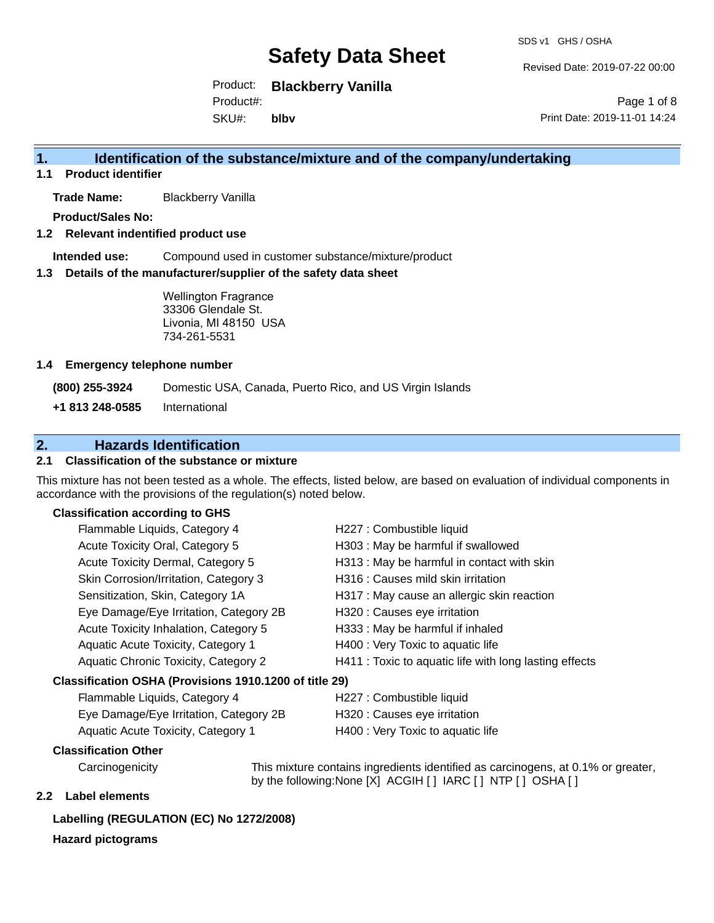Revised Date: 2019-07-22 00:00

Product: **Blackberry Vanilla** Product#:

SKU#: **blbv**

Page 1 of 8 Print Date: 2019-11-01 14:24

## **1. Identification of the substance/mixture and of the company/undertaking**

**1.1 Product identifier**

**Trade Name:** Blackberry Vanilla

**Product/Sales No:**

**1.2 Relevant indentified product use**

**Intended use:** Compound used in customer substance/mixture/product

**1.3 Details of the manufacturer/supplier of the safety data sheet**

Wellington Fragrance 33306 Glendale St. Livonia, MI 48150 USA 734-261-5531

#### **1.4 Emergency telephone number**

**(800) 255-3924** Domestic USA, Canada, Puerto Rico, and US Virgin Islands

**+1 813 248-0585** International

# **2. Hazards Identification**

### **2.1 Classification of the substance or mixture**

This mixture has not been tested as a whole. The effects, listed below, are based on evaluation of individual components in accordance with the provisions of the regulation(s) noted below.

### **Classification according to GHS**

| Flammable Liquids, Category 4                          | H227 : Combustible liquid                              |
|--------------------------------------------------------|--------------------------------------------------------|
| Acute Toxicity Oral, Category 5                        | H303 : May be harmful if swallowed                     |
| Acute Toxicity Dermal, Category 5                      | H313 : May be harmful in contact with skin             |
| Skin Corrosion/Irritation, Category 3                  | H316 : Causes mild skin irritation                     |
| Sensitization, Skin, Category 1A                       | H317 : May cause an allergic skin reaction             |
| Eye Damage/Eye Irritation, Category 2B                 | H320 : Causes eye irritation                           |
| Acute Toxicity Inhalation, Category 5                  | H333: May be harmful if inhaled                        |
| Aquatic Acute Toxicity, Category 1                     | H400 : Very Toxic to aquatic life                      |
| Aquatic Chronic Toxicity, Category 2                   | H411 : Toxic to aquatic life with long lasting effects |
| Classification OSHA (Provisions 1910.1200 of title 29) |                                                        |
| — <u>III.a.</u>                                        |                                                        |

| Flammable Liquids, Category 4          |
|----------------------------------------|
| Eye Damage/Eye Irritation, Category 2B |
| Aquatic Acute Toxicity, Category 1     |

H227 : Combustible liquid

- H320 : Causes eye irritation
- H400 : Very Toxic to aquatic life

#### **Classification Other**

Carcinogenicity This mixture contains ingredients identified as carcinogens, at 0.1% or greater, by the following:None [X] ACGIH [ ] IARC [ ] NTP [ ] OSHA [ ]

### **2.2 Label elements**

### **Labelling (REGULATION (EC) No 1272/2008)**

#### **Hazard pictograms**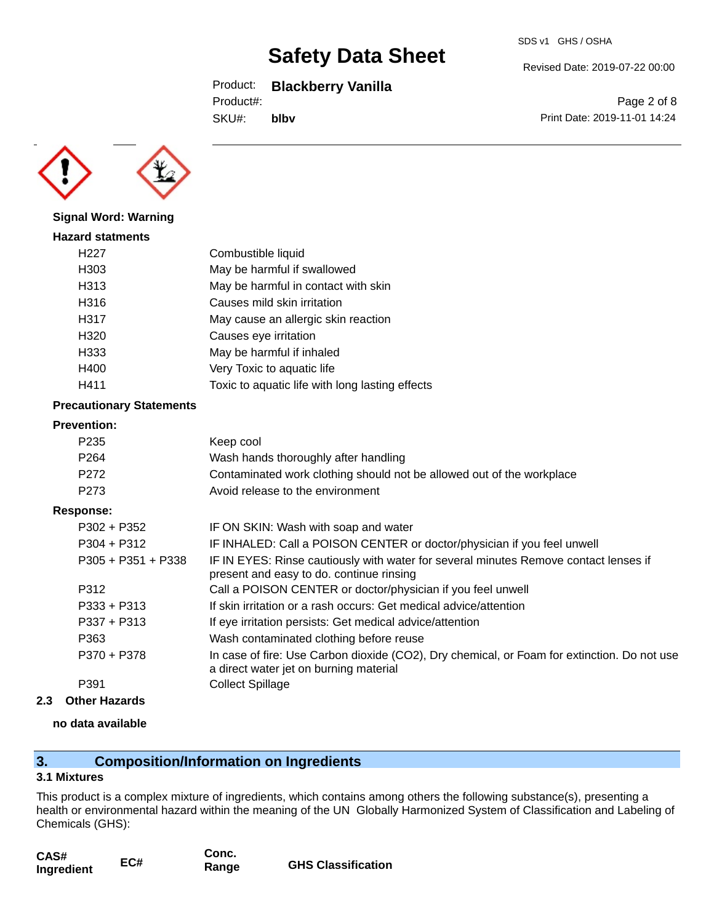## Product: **Blackberry Vanilla**

Product#:

SKU#: **blbv**

Page 2 of 8 Print Date: 2019-11-01 14:24

Revised Date: 2019-07-22 00:00

**Signal Word: Warning**

| <b>Hazard statments</b> |                                                 |
|-------------------------|-------------------------------------------------|
| H <sub>22</sub> 7       | Combustible liquid                              |
| H303                    | May be harmful if swallowed                     |
| H313                    | May be harmful in contact with skin             |
| H316                    | Causes mild skin irritation                     |
| H317                    | May cause an allergic skin reaction             |
| H320                    | Causes eye irritation                           |
| H333                    | May be harmful if inhaled                       |
| H400                    | Very Toxic to aquatic life                      |
| H411                    | Toxic to aquatic life with long lasting effects |

#### **Precautionary Statements**

#### **Prevention:**

| P <sub>235</sub> | Keep cool                                                             |
|------------------|-----------------------------------------------------------------------|
| P <sub>264</sub> | Wash hands thoroughly after handling                                  |
| P <sub>272</sub> | Contaminated work clothing should not be allowed out of the workplace |
| P273             | Avoid release to the environment                                      |
| oonse:           |                                                                       |

## **Response:** P302 + P352 IF ON SKIN: Wash with soap and water P304 + P312 **IF INHALED:** Call a POISON CENTER or doctor/physician if you feel unwell P305 + P351 + P338 IF IN EYES: Rinse cautiously with water for several minutes Remove contact lenses if present and easy to do. continue rinsing P312 Call a POISON CENTER or doctor/physician if you feel unwell P333 + P313 If skin irritation or a rash occurs: Get medical advice/attention P337 + P313 If eye irritation persists: Get medical advice/attention P363 Wash contaminated clothing before reuse P370 + P378 In case of fire: Use Carbon dioxide (CO2), Dry chemical, or Foam for extinction. Do not use a direct water jet on burning material P391 Collect Spillage

**2.3 Other Hazards**

# **no data available**

# **3. Composition/Information on Ingredients**

## **3.1 Mixtures**

This product is a complex mixture of ingredients, which contains among others the following substance(s), presenting a health or environmental hazard within the meaning of the UN Globally Harmonized System of Classification and Labeling of Chemicals (GHS):

| CAS#       | EC# | Conc. |                           |
|------------|-----|-------|---------------------------|
| Ingredient |     | Range | <b>GHS Classification</b> |

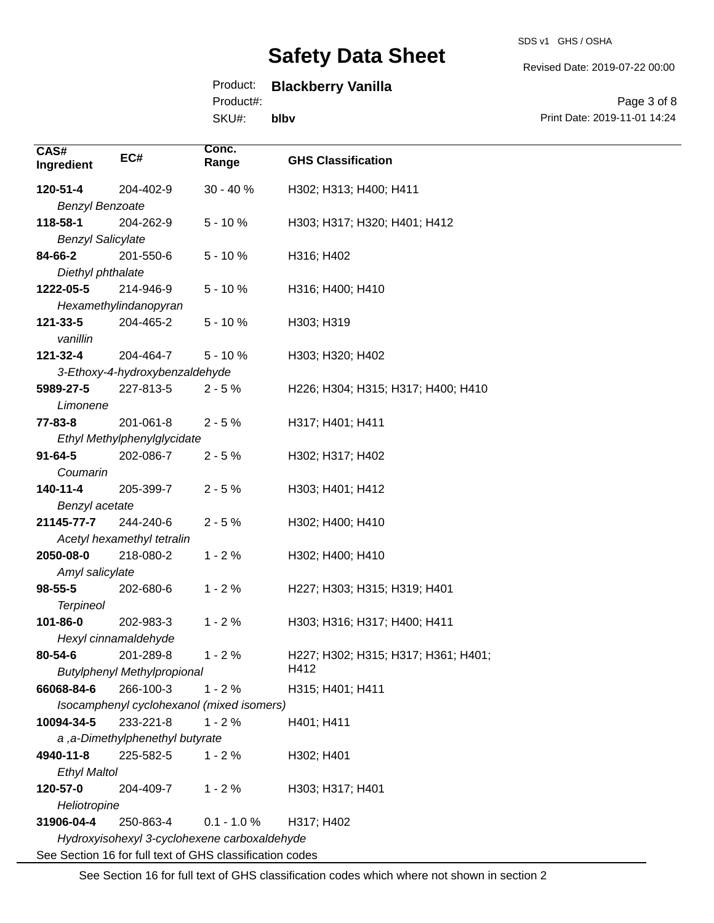Revised Date: 2019-07-22 00:00

# Product: **Blackberry Vanilla**

Product#:

SKU#: **blbv**

Page 3 of 8 Print Date: 2019-11-01 14:24

| CAS#                                                     |                                              | Conc.                                     |                                     |
|----------------------------------------------------------|----------------------------------------------|-------------------------------------------|-------------------------------------|
| Ingredient                                               | EC#                                          | Range                                     | <b>GHS Classification</b>           |
| 120-51-4                                                 | 204-402-9                                    | $30 - 40%$                                | H302; H313; H400; H411              |
| <b>Benzyl Benzoate</b>                                   |                                              |                                           |                                     |
| 118-58-1                                                 | 204-262-9                                    | $5 - 10%$                                 | H303; H317; H320; H401; H412        |
| <b>Benzyl Salicylate</b>                                 |                                              |                                           |                                     |
| 84-66-2                                                  | 201-550-6                                    | $5 - 10%$                                 | H316; H402                          |
| Diethyl phthalate                                        |                                              |                                           |                                     |
| 1222-05-5                                                | 214-946-9                                    | $5 - 10%$                                 | H316; H400; H410                    |
|                                                          | Hexamethylindanopyran                        |                                           |                                     |
| 121-33-5                                                 | 204-465-2                                    | $5 - 10%$                                 | H303; H319                          |
| vanillin                                                 |                                              |                                           |                                     |
| 121-32-4                                                 | 204-464-7                                    | $5 - 10%$                                 | H303; H320; H402                    |
|                                                          | 3-Ethoxy-4-hydroxybenzaldehyde               |                                           |                                     |
| 5989-27-5                                                | 227-813-5                                    | $2 - 5%$                                  | H226; H304; H315; H317; H400; H410  |
| Limonene                                                 |                                              |                                           |                                     |
| 77-83-8                                                  | 201-061-8                                    | $2 - 5%$                                  | H317; H401; H411                    |
|                                                          | Ethyl Methylphenylglycidate                  |                                           |                                     |
| $91 - 64 - 5$                                            | 202-086-7                                    | $2 - 5%$                                  | H302; H317; H402                    |
| Coumarin                                                 |                                              |                                           |                                     |
| $140 - 11 - 4$                                           | 205-399-7                                    | $2 - 5%$                                  | H303; H401; H412                    |
| Benzyl acetate                                           |                                              |                                           |                                     |
| 21145-77-7                                               | 244-240-6                                    | $2 - 5%$                                  | H302; H400; H410                    |
|                                                          | Acetyl hexamethyl tetralin                   |                                           |                                     |
| 2050-08-0                                                | 218-080-2                                    | $1 - 2%$                                  | H302; H400; H410                    |
| Amyl salicylate                                          |                                              |                                           |                                     |
| 98-55-5                                                  | 202-680-6                                    | $1 - 2%$                                  | H227; H303; H315; H319; H401        |
| <b>Terpineol</b>                                         |                                              |                                           |                                     |
| 101-86-0                                                 | 202-983-3                                    | $1 - 2%$                                  | H303; H316; H317; H400; H411        |
|                                                          | Hexyl cinnamaldehyde                         |                                           |                                     |
| 80-54-6                                                  | 201-289-8                                    | $1 - 2%$                                  | H227; H302; H315; H317; H361; H401; |
|                                                          | <b>Butylphenyl Methylpropional</b>           |                                           | H412                                |
| 66068-84-6                                               | 266-100-3                                    | $1 - 2%$                                  | H315; H401; H411                    |
|                                                          |                                              | Isocamphenyl cyclohexanol (mixed isomers) |                                     |
| 10094-34-5                                               | 233-221-8                                    | $1 - 2%$                                  | H401; H411                          |
| a, a-Dimethylphenethyl butyrate                          |                                              |                                           |                                     |
| 4940-11-8                                                | 225-582-5                                    | $1 - 2%$                                  | H302; H401                          |
| <b>Ethyl Maltol</b>                                      |                                              |                                           |                                     |
| 120-57-0                                                 | 204-409-7                                    | $1 - 2%$                                  | H303; H317; H401                    |
| Heliotropine                                             |                                              |                                           |                                     |
| 31906-04-4                                               | 250-863-4                                    | $0.1 - 1.0 %$                             | H317; H402                          |
|                                                          | Hydroxyisohexyl 3-cyclohexene carboxaldehyde |                                           |                                     |
| See Section 16 for full text of GHS classification codes |                                              |                                           |                                     |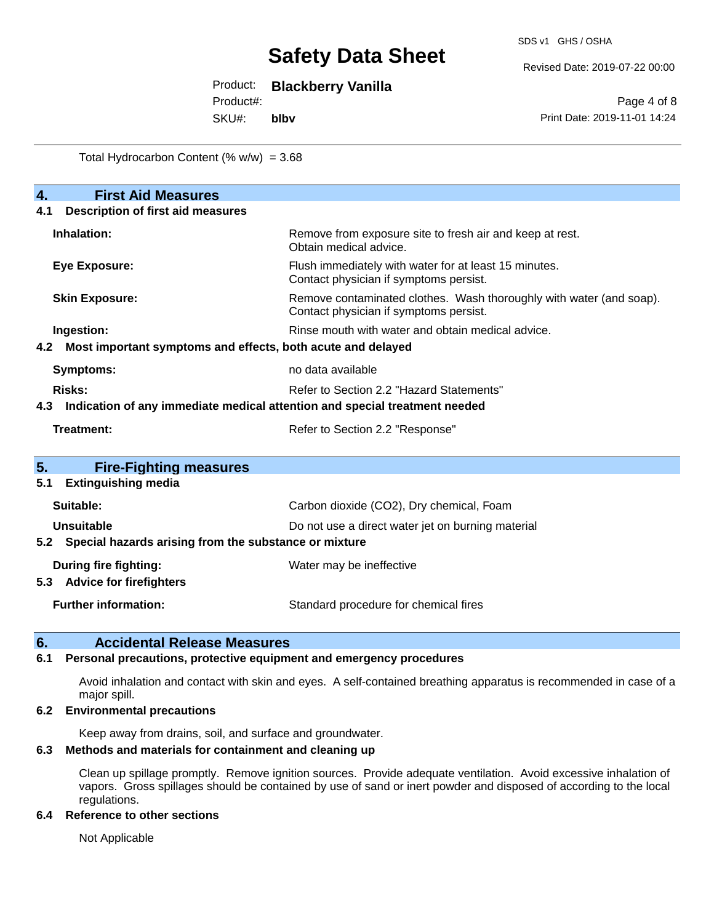Revised Date: 2019-07-22 00:00

Product: **Blackberry Vanilla**

Product#:

SKU#: **blbv**

Page 4 of 8 Print Date: 2019-11-01 14:24

Total Hydrocarbon Content  $(\% w/w) = 3.68$ 

| $\overline{4}$ .<br><b>First Aid Measures</b>                                     |                                                                                                               |  |  |
|-----------------------------------------------------------------------------------|---------------------------------------------------------------------------------------------------------------|--|--|
| <b>Description of first aid measures</b><br>4.1                                   |                                                                                                               |  |  |
| Inhalation:                                                                       | Remove from exposure site to fresh air and keep at rest.<br>Obtain medical advice.                            |  |  |
| <b>Eye Exposure:</b>                                                              | Flush immediately with water for at least 15 minutes.<br>Contact physician if symptoms persist.               |  |  |
| <b>Skin Exposure:</b>                                                             | Remove contaminated clothes. Wash thoroughly with water (and soap).<br>Contact physician if symptoms persist. |  |  |
| Ingestion:                                                                        | Rinse mouth with water and obtain medical advice.                                                             |  |  |
| Most important symptoms and effects, both acute and delayed<br>4.2                |                                                                                                               |  |  |
| <b>Symptoms:</b>                                                                  | no data available                                                                                             |  |  |
| <b>Risks:</b>                                                                     | Refer to Section 2.2 "Hazard Statements"                                                                      |  |  |
| Indication of any immediate medical attention and special treatment needed<br>4.3 |                                                                                                               |  |  |
| <b>Treatment:</b>                                                                 | Refer to Section 2.2 "Response"                                                                               |  |  |
| 5.<br><b>Fire-Fighting measures</b>                                               |                                                                                                               |  |  |
| <b>Extinguishing media</b><br>5.1                                                 |                                                                                                               |  |  |
| Suitable:                                                                         | Carbon dioxide (CO2), Dry chemical, Foam                                                                      |  |  |
| Unsuitable                                                                        | Do not use a direct water jet on burning material                                                             |  |  |
| 5.2 Special hazards arising from the substance or mixture                         |                                                                                                               |  |  |
| <b>During fire fighting:</b><br><b>Advice for firefighters</b><br>5.3             | Water may be ineffective                                                                                      |  |  |
|                                                                                   |                                                                                                               |  |  |
| <b>Further information:</b>                                                       | Standard procedure for chemical fires                                                                         |  |  |

## **6. Accidental Release Measures**

#### **6.1 Personal precautions, protective equipment and emergency procedures**

Avoid inhalation and contact with skin and eyes. A self-contained breathing apparatus is recommended in case of a major spill.

#### **6.2 Environmental precautions**

Keep away from drains, soil, and surface and groundwater.

## **6.3 Methods and materials for containment and cleaning up**

Clean up spillage promptly. Remove ignition sources. Provide adequate ventilation. Avoid excessive inhalation of vapors. Gross spillages should be contained by use of sand or inert powder and disposed of according to the local regulations.

#### **6.4 Reference to other sections**

Not Applicable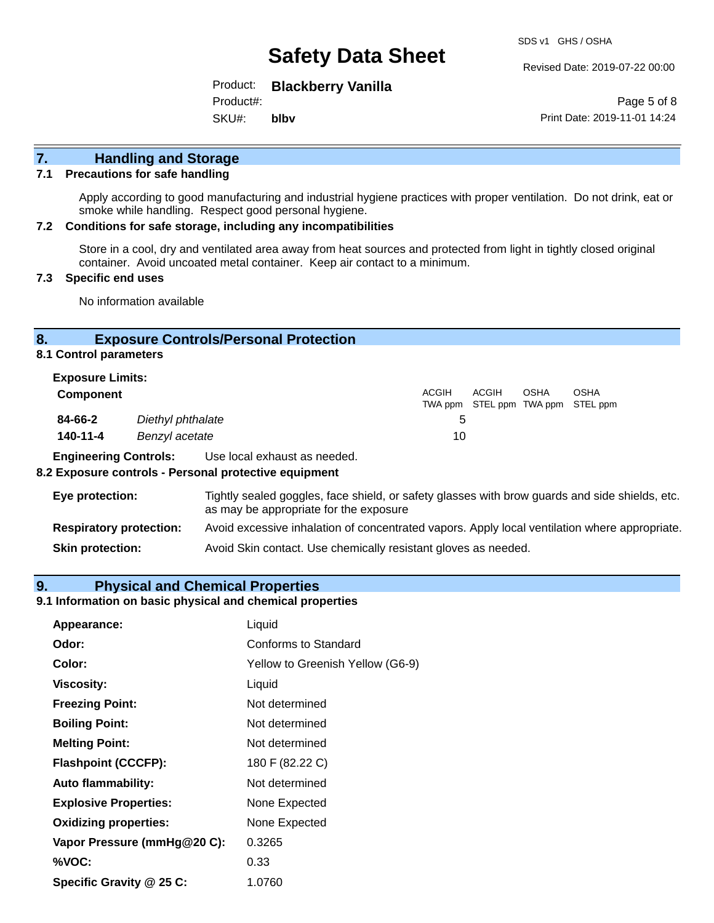Revised Date: 2019-07-22 00:00

Product: **Blackberry Vanilla**

SKU#: Product#: **blbv**

Page 5 of 8 Print Date: 2019-11-01 14:24

# **7. Handling and Storage**

#### **7.1 Precautions for safe handling**

Apply according to good manufacturing and industrial hygiene practices with proper ventilation. Do not drink, eat or smoke while handling. Respect good personal hygiene.

#### **7.2 Conditions for safe storage, including any incompatibilities**

Store in a cool, dry and ventilated area away from heat sources and protected from light in tightly closed original container. Avoid uncoated metal container. Keep air contact to a minimum.

### **7.3 Specific end uses**

No information available

### **8. Exposure Controls/Personal Protection**

**8.1 Control parameters**

| <b>Exposure Limits:</b> |                   |              |       |             |                                                  |
|-------------------------|-------------------|--------------|-------|-------------|--------------------------------------------------|
| Component               |                   | <b>ACGIH</b> | ACGIH | <b>OSHA</b> | <b>OSHA</b><br>TWA ppm STEL ppm TWA ppm STEL ppm |
| 84-66-2                 | Diethyl phthalate | 5            |       |             |                                                  |
| 140-11-4                | Benzyl acetate    | 10           |       |             |                                                  |

**Engineering Controls:** Use local exhaust as needed.

#### **8.2 Exposure controls - Personal protective equipment**

| Eye protection:                | Tightly sealed goggles, face shield, or safety glasses with brow guards and side shields, etc.<br>as may be appropriate for the exposure |
|--------------------------------|------------------------------------------------------------------------------------------------------------------------------------------|
| <b>Respiratory protection:</b> | Avoid excessive inhalation of concentrated vapors. Apply local ventilation where appropriate.                                            |
| <b>Skin protection:</b>        | Avoid Skin contact. Use chemically resistant gloves as needed.                                                                           |

#### **9. Physical and Chemical Properties**

## **9.1 Information on basic physical and chemical properties**

| Appearance:                  | Liquid                           |
|------------------------------|----------------------------------|
| Odor:                        | Conforms to Standard             |
| Color:                       | Yellow to Greenish Yellow (G6-9) |
| <b>Viscosity:</b>            | Liquid                           |
| <b>Freezing Point:</b>       | Not determined                   |
| <b>Boiling Point:</b>        | Not determined                   |
| <b>Melting Point:</b>        | Not determined                   |
| <b>Flashpoint (CCCFP):</b>   | 180 F (82.22 C)                  |
| <b>Auto flammability:</b>    | Not determined                   |
| <b>Explosive Properties:</b> | None Expected                    |
| <b>Oxidizing properties:</b> | None Expected                    |
| Vapor Pressure (mmHg@20 C):  | 0.3265                           |
| %VOC:                        | 0.33                             |
| Specific Gravity @ 25 C:     | 1.0760                           |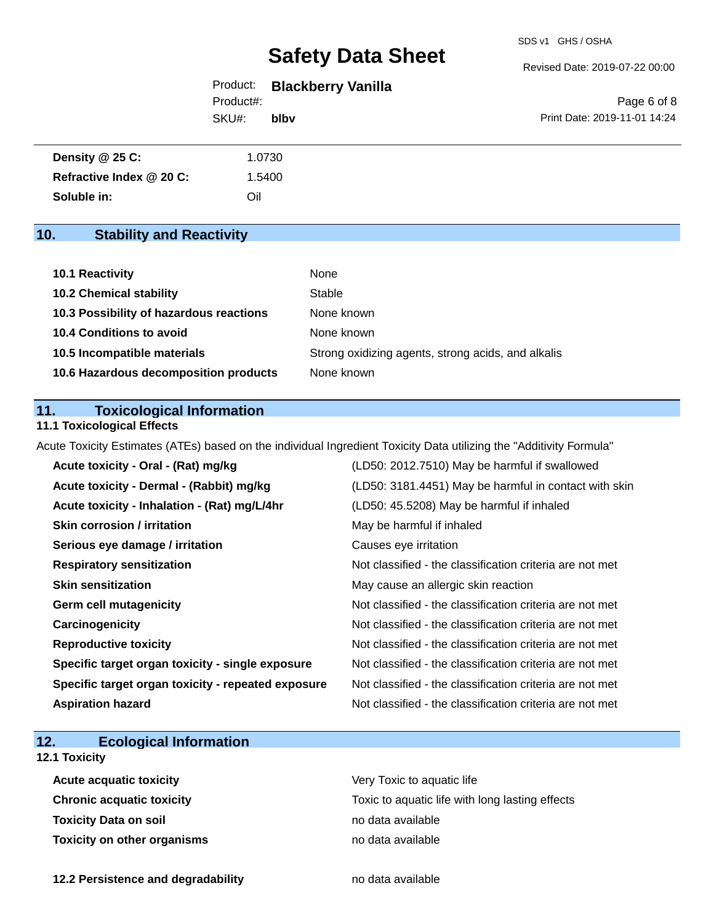#### Revised Date: 2019-07-22 00:00

## Product: **Blackberry Vanilla** Product#:

SKU#: **blbv**

Page 6 of 8 Print Date: 2019-11-01 14:24

| <b>Density @ 25 C:</b>   | 1.0730 |  |
|--------------------------|--------|--|
| Refractive Index @ 20 C: | .5400  |  |
| Soluble in:              | Oil    |  |

# **10. Stability and Reactivity**

| 10.1 Reactivity                         | None                                               |
|-----------------------------------------|----------------------------------------------------|
| <b>10.2 Chemical stability</b>          | Stable                                             |
| 10.3 Possibility of hazardous reactions | None known                                         |
| 10.4 Conditions to avoid                | None known                                         |
| 10.5 Incompatible materials             | Strong oxidizing agents, strong acids, and alkalis |
| 10.6 Hazardous decomposition products   | None known                                         |

## **11. Toxicological Information**

### **11.1 Toxicological Effects**

Acute Toxicity Estimates (ATEs) based on the individual Ingredient Toxicity Data utilizing the "Additivity Formula"

| Acute toxicity - Oral - (Rat) mg/kg                | (LD50: 2012.7510) May be harmful if swallowed            |
|----------------------------------------------------|----------------------------------------------------------|
| Acute toxicity - Dermal - (Rabbit) mg/kg           | (LD50: 3181.4451) May be harmful in contact with skin    |
| Acute toxicity - Inhalation - (Rat) mg/L/4hr       | (LD50: 45.5208) May be harmful if inhaled                |
| <b>Skin corrosion / irritation</b>                 | May be harmful if inhaled                                |
| Serious eye damage / irritation                    | Causes eye irritation                                    |
| <b>Respiratory sensitization</b>                   | Not classified - the classification criteria are not met |
| <b>Skin sensitization</b>                          | May cause an allergic skin reaction                      |
| <b>Germ cell mutagenicity</b>                      | Not classified - the classification criteria are not met |
| Carcinogenicity                                    | Not classified - the classification criteria are not met |
| <b>Reproductive toxicity</b>                       | Not classified - the classification criteria are not met |
| Specific target organ toxicity - single exposure   | Not classified - the classification criteria are not met |
| Specific target organ toxicity - repeated exposure | Not classified - the classification criteria are not met |
| <b>Aspiration hazard</b>                           | Not classified - the classification criteria are not met |

# **12. Ecological Information**

# **12.1 Toxicity**

| <b>Acute acquatic toxicity</b>     | Very Toxic to aquatic life                      |
|------------------------------------|-------------------------------------------------|
| Chronic acquatic toxicity          | Toxic to aquatic life with long lasting effects |
| Toxicity Data on soil              | no data available                               |
| <b>Toxicity on other organisms</b> | no data available                               |

**12.2 Persistence and degradability no data available**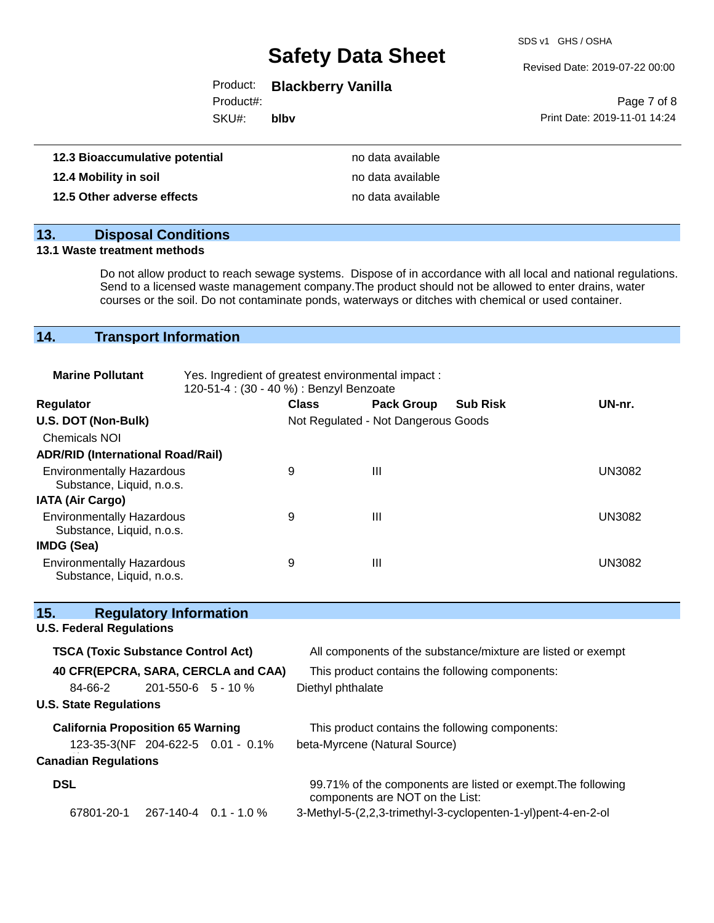SDS v1 GHS / OSHA

#### Revised Date: 2019-07-22 00:00

# Product: **Blackberry Vanilla**

Product#:

SKU#: **blbv**

|                              | Page 7 of 8 |  |
|------------------------------|-------------|--|
| Print Date: 2019-11-01 14:24 |             |  |

| 12.3 Bioaccumulative potential | no data available |
|--------------------------------|-------------------|
| 12.4 Mobility in soil          | no data available |
| 12.5 Other adverse effects     | no data available |

# **13. Disposal Conditions**

#### **13.1 Waste treatment methods**

Do not allow product to reach sewage systems. Dispose of in accordance with all local and national regulations. Send to a licensed waste management company.The product should not be allowed to enter drains, water courses or the soil. Do not contaminate ponds, waterways or ditches with chemical or used container.

# **14. Transport Information**

| <b>Marine Pollutant</b>                                       | Yes. Ingredient of greatest environmental impact:<br>120-51-4 : (30 - 40 %) : Benzyl Benzoate |              |                                     |                 |               |
|---------------------------------------------------------------|-----------------------------------------------------------------------------------------------|--------------|-------------------------------------|-----------------|---------------|
| <b>Regulator</b>                                              |                                                                                               | <b>Class</b> | <b>Pack Group</b>                   | <b>Sub Risk</b> | UN-nr.        |
| U.S. DOT (Non-Bulk)                                           |                                                                                               |              | Not Regulated - Not Dangerous Goods |                 |               |
| <b>Chemicals NOI</b>                                          |                                                                                               |              |                                     |                 |               |
| <b>ADR/RID (International Road/Rail)</b>                      |                                                                                               |              |                                     |                 |               |
| <b>Environmentally Hazardous</b><br>Substance, Liquid, n.o.s. |                                                                                               | 9            | Ш                                   |                 | <b>UN3082</b> |
| <b>IATA (Air Cargo)</b>                                       |                                                                                               |              |                                     |                 |               |
| <b>Environmentally Hazardous</b><br>Substance, Liquid, n.o.s. |                                                                                               | 9            | Ш                                   |                 | <b>UN3082</b> |
| IMDG (Sea)                                                    |                                                                                               |              |                                     |                 |               |
| <b>Environmentally Hazardous</b><br>Substance, Liquid, n.o.s. |                                                                                               | 9            | Ш                                   |                 | <b>UN3082</b> |

| 15.                                       | <b>Regulatory Information</b>     |                                     |                                                                                                 |
|-------------------------------------------|-----------------------------------|-------------------------------------|-------------------------------------------------------------------------------------------------|
| <b>U.S. Federal Regulations</b>           |                                   |                                     |                                                                                                 |
| <b>TSCA (Toxic Substance Control Act)</b> |                                   |                                     | All components of the substance/mixture are listed or exempt                                    |
|                                           |                                   | 40 CFR(EPCRA, SARA, CERCLA and CAA) | This product contains the following components:                                                 |
| 84-66-2                                   | $201 - 550 - 6$ 5 - 10 %          |                                     | Diethyl phthalate                                                                               |
| <b>U.S. State Regulations</b>             |                                   |                                     |                                                                                                 |
| <b>California Proposition 65 Warning</b>  |                                   |                                     | This product contains the following components:                                                 |
|                                           | 123-35-3(NF 204-622-5 0.01 - 0.1% |                                     | beta-Myrcene (Natural Source)                                                                   |
| <b>Canadian Regulations</b>               |                                   |                                     |                                                                                                 |
| <b>DSL</b>                                |                                   |                                     | 99.71% of the components are listed or exempt. The following<br>components are NOT on the List: |
| 67801-20-1                                | 267-140-4 0.1 - 1.0 %             |                                     | 3-Methyl-5-(2,2,3-trimethyl-3-cyclopenten-1-yl)pent-4-en-2-ol                                   |